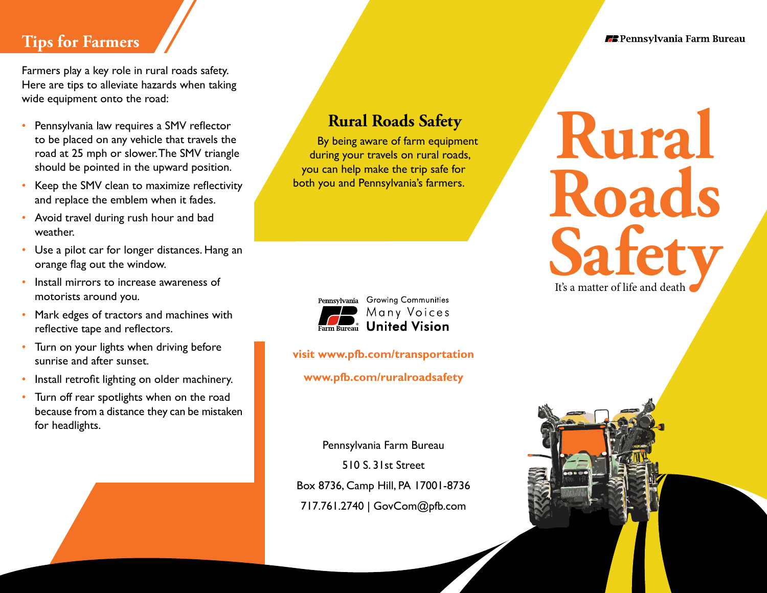#### **Tips for Farmers**

Farmers play a key role in rural roads safety. Here are tips to alleviate hazards when taking wide equipment onto the road:

- Pennsylvania law requires a SMV reflector to be placed on any vehicle that travels the road at 25 mph or slower. The SMV triangle should be pointed in the upward position.
- Keep the SMV clean to maximize reflectivity and replace the emblem when it fades.
- Avoid travel during rush hour and bad weather.
- Use a pilot car for longer distances. Hang an orange flag out the window.
- Install mirrors to increase awareness of motorists around you.
- Mark edges of tractors and machines with reflective tape and reflectors.
- Turn on your lights when driving before sunrise and after sunset.
- Install retrofit lighting on older machinery.
- Turn off rear spotlights when on the road because from a distance they can be mistaken for headlights.

## **Rural Roads Safety**

By being aware of farm equipment during your travels on rural roads, you can help make the trip safe for both you and Pennsylvania's farmers.



#### **visit www.pfb.com/transportation**

**www.pfb.com/ruralroadsafety**

Pennsylvania Farm Bureau 510 S. 31st Street Box 8736, Camp Hill, PA 17001-8736 717.761.2740 | GovCom@pfb.com

# **Rural Roads**  It's a matter of life and death